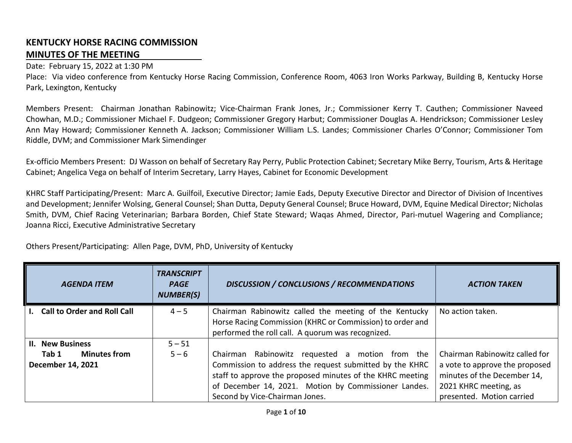## **KENTUCKY HORSE RACING COMMISSION MINUTES OF THE MEETING**

## Date: February 15, 2022 at 1:30 PM

Place: Via video conference from Kentucky Horse Racing Commission, Conference Room, 4063 Iron Works Parkway, Building B, Kentucky Horse Park, Lexington, Kentucky

Members Present: Chairman Jonathan Rabinowitz; Vice-Chairman Frank Jones, Jr.; Commissioner Kerry T. Cauthen; Commissioner Naveed Chowhan, M.D.; Commissioner Michael F. Dudgeon; Commissioner Gregory Harbut; Commissioner Douglas A. Hendrickson; Commissioner Lesley Ann May Howard; Commissioner Kenneth A. Jackson; Commissioner William L.S. Landes; Commissioner Charles O'Connor; Commissioner Tom Riddle, DVM; and Commissioner Mark Simendinger

Ex-officio Members Present: DJ Wasson on behalf of Secretary Ray Perry, Public Protection Cabinet; Secretary Mike Berry, Tourism, Arts & Heritage Cabinet; Angelica Vega on behalf of Interim Secretary, Larry Hayes, Cabinet for Economic Development

KHRC Staff Participating/Present: Marc A. Guilfoil, Executive Director; Jamie Eads, Deputy Executive Director and Director of Division of Incentives and Development; Jennifer Wolsing, General Counsel; Shan Dutta, Deputy General Counsel; Bruce Howard, DVM, Equine Medical Director; Nicholas Smith, DVM, Chief Racing Veterinarian; Barbara Borden, Chief State Steward; Waqas Ahmed, Director, Pari-mutuel Wagering and Compliance; Joanna Ricci, Executive Administrative Secretary

Others Present/Participating: Allen Page, DVM, PhD, University of Kentucky

| <b>AGENDA ITEM</b>                                | <b>TRANSCRIPT</b><br><b>PAGE</b><br><b>NUMBER(S)</b> | <b>DISCUSSION / CONCLUSIONS / RECOMMENDATIONS</b>                                                                                                                                                                                                                 | <b>ACTION TAKEN</b>                                                                                                                                   |
|---------------------------------------------------|------------------------------------------------------|-------------------------------------------------------------------------------------------------------------------------------------------------------------------------------------------------------------------------------------------------------------------|-------------------------------------------------------------------------------------------------------------------------------------------------------|
| I. Call to Order and Roll Call                    | $4 - 5$                                              | Chairman Rabinowitz called the meeting of the Kentucky<br>Horse Racing Commission (KHRC or Commission) to order and<br>performed the roll call. A quorum was recognized.                                                                                          | No action taken.                                                                                                                                      |
| <b>II. New Business</b>                           | $5 - 51$                                             |                                                                                                                                                                                                                                                                   |                                                                                                                                                       |
| <b>Minutes from</b><br>Tab 1<br>December 14, 2021 | $5 - 6$                                              | Chairman Rabinowitz requested a motion from the<br>Commission to address the request submitted by the KHRC<br>staff to approve the proposed minutes of the KHRC meeting<br>of December 14, 2021. Motion by Commissioner Landes.<br>Second by Vice-Chairman Jones. | Chairman Rabinowitz called for<br>a vote to approve the proposed<br>minutes of the December 14,<br>2021 KHRC meeting, as<br>presented. Motion carried |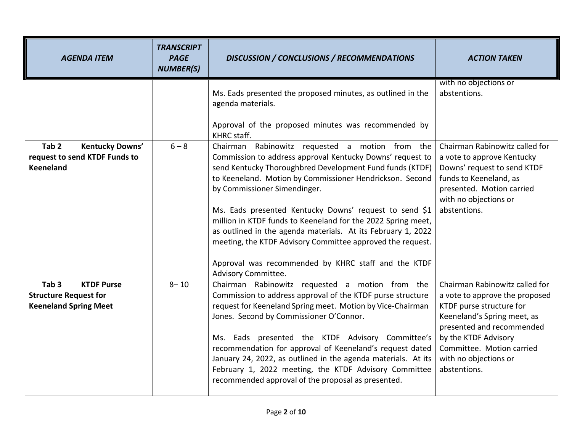| <b>AGENDA ITEM</b>                                                                                    | <b>TRANSCRIPT</b><br><b>PAGE</b><br><b>NUMBER(S)</b> | <b>DISCUSSION / CONCLUSIONS / RECOMMENDATIONS</b>                                                                                                                                                                                                                                                                                                                                                                                                                                                                                                                                                          | <b>ACTION TAKEN</b>                                                                                                                                                                                                                                    |
|-------------------------------------------------------------------------------------------------------|------------------------------------------------------|------------------------------------------------------------------------------------------------------------------------------------------------------------------------------------------------------------------------------------------------------------------------------------------------------------------------------------------------------------------------------------------------------------------------------------------------------------------------------------------------------------------------------------------------------------------------------------------------------------|--------------------------------------------------------------------------------------------------------------------------------------------------------------------------------------------------------------------------------------------------------|
|                                                                                                       |                                                      | Ms. Eads presented the proposed minutes, as outlined in the<br>agenda materials.<br>Approval of the proposed minutes was recommended by<br>KHRC staff.                                                                                                                                                                                                                                                                                                                                                                                                                                                     | with no objections or<br>abstentions.                                                                                                                                                                                                                  |
| Tab <sub>2</sub><br>Kentucky Downs'<br>request to send KTDF Funds to<br><b>Keeneland</b>              | $6 - 8$                                              | Chairman Rabinowitz requested a motion from the<br>Commission to address approval Kentucky Downs' request to<br>send Kentucky Thoroughbred Development Fund funds (KTDF)<br>to Keeneland. Motion by Commissioner Hendrickson. Second<br>by Commissioner Simendinger.<br>Ms. Eads presented Kentucky Downs' request to send \$1<br>million in KTDF funds to Keeneland for the 2022 Spring meet,<br>as outlined in the agenda materials. At its February 1, 2022<br>meeting, the KTDF Advisory Committee approved the request.<br>Approval was recommended by KHRC staff and the KTDF<br>Advisory Committee. | Chairman Rabinowitz called for<br>a vote to approve Kentucky<br>Downs' request to send KTDF<br>funds to Keeneland, as<br>presented. Motion carried<br>with no objections or<br>abstentions.                                                            |
| Tab <sub>3</sub><br><b>KTDF Purse</b><br><b>Structure Request for</b><br><b>Keeneland Spring Meet</b> | $8 - 10$                                             | Chairman Rabinowitz requested a motion from the<br>Commission to address approval of the KTDF purse structure<br>request for Keeneland Spring meet. Motion by Vice-Chairman<br>Jones. Second by Commissioner O'Connor.<br>Ms. Eads presented the KTDF Advisory Committee's<br>recommendation for approval of Keeneland's request dated<br>January 24, 2022, as outlined in the agenda materials. At its<br>February 1, 2022 meeting, the KTDF Advisory Committee<br>recommended approval of the proposal as presented.                                                                                     | Chairman Rabinowitz called for<br>a vote to approve the proposed<br>KTDF purse structure for<br>Keeneland's Spring meet, as<br>presented and recommended<br>by the KTDF Advisory<br>Committee. Motion carried<br>with no objections or<br>abstentions. |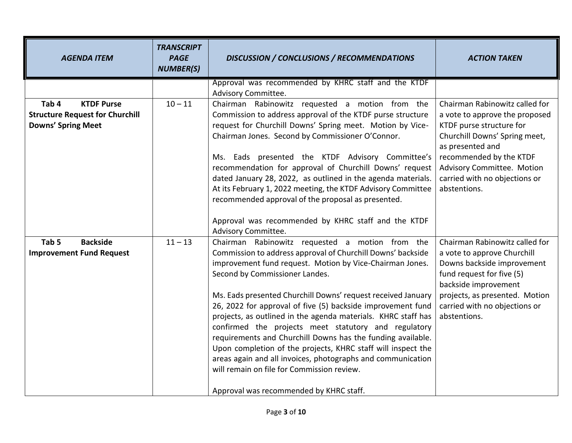| <b>AGENDA ITEM</b>                                                                                | <b>TRANSCRIPT</b><br><b>PAGE</b><br><b>NUMBER(S)</b> | <b>DISCUSSION / CONCLUSIONS / RECOMMENDATIONS</b>                                                                                                                                                                                                                                                                                                                                                                                                                                                                                                                                                                                                                                                                                                           | <b>ACTION TAKEN</b>                                                                                                                                                                                                                                         |
|---------------------------------------------------------------------------------------------------|------------------------------------------------------|-------------------------------------------------------------------------------------------------------------------------------------------------------------------------------------------------------------------------------------------------------------------------------------------------------------------------------------------------------------------------------------------------------------------------------------------------------------------------------------------------------------------------------------------------------------------------------------------------------------------------------------------------------------------------------------------------------------------------------------------------------------|-------------------------------------------------------------------------------------------------------------------------------------------------------------------------------------------------------------------------------------------------------------|
|                                                                                                   |                                                      | Approval was recommended by KHRC staff and the KTDF<br>Advisory Committee.                                                                                                                                                                                                                                                                                                                                                                                                                                                                                                                                                                                                                                                                                  |                                                                                                                                                                                                                                                             |
| <b>KTDF Purse</b><br>Tab 4<br><b>Structure Request for Churchill</b><br><b>Downs' Spring Meet</b> | $10 - 11$                                            | Chairman Rabinowitz requested a motion from the<br>Commission to address approval of the KTDF purse structure<br>request for Churchill Downs' Spring meet. Motion by Vice-<br>Chairman Jones. Second by Commissioner O'Connor.<br>Ms. Eads presented the KTDF Advisory Committee's<br>recommendation for approval of Churchill Downs' request<br>dated January 28, 2022, as outlined in the agenda materials.<br>At its February 1, 2022 meeting, the KTDF Advisory Committee                                                                                                                                                                                                                                                                               | Chairman Rabinowitz called for<br>a vote to approve the proposed<br>KTDF purse structure for<br>Churchill Downs' Spring meet,<br>as presented and<br>recommended by the KTDF<br>Advisory Committee. Motion<br>carried with no objections or<br>abstentions. |
|                                                                                                   |                                                      | recommended approval of the proposal as presented.<br>Approval was recommended by KHRC staff and the KTDF<br>Advisory Committee.                                                                                                                                                                                                                                                                                                                                                                                                                                                                                                                                                                                                                            |                                                                                                                                                                                                                                                             |
| Tab <sub>5</sub><br><b>Backside</b><br><b>Improvement Fund Request</b>                            | $11 - 13$                                            | Chairman Rabinowitz requested a motion from the<br>Commission to address approval of Churchill Downs' backside<br>improvement fund request. Motion by Vice-Chairman Jones.<br>Second by Commissioner Landes.<br>Ms. Eads presented Churchill Downs' request received January<br>26, 2022 for approval of five (5) backside improvement fund<br>projects, as outlined in the agenda materials. KHRC staff has<br>confirmed the projects meet statutory and regulatory<br>requirements and Churchill Downs has the funding available.<br>Upon completion of the projects, KHRC staff will inspect the<br>areas again and all invoices, photographs and communication<br>will remain on file for Commission review.<br>Approval was recommended by KHRC staff. | Chairman Rabinowitz called for<br>a vote to approve Churchill<br>Downs backside improvement<br>fund request for five (5)<br>backside improvement<br>projects, as presented. Motion<br>carried with no objections or<br>abstentions.                         |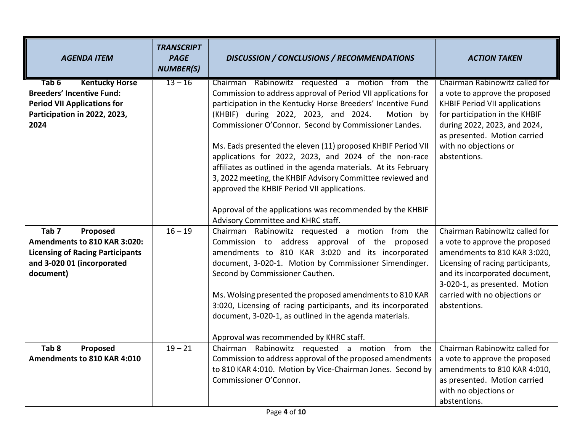| <b>AGENDA ITEM</b>                                                                                                                                 | <b>TRANSCRIPT</b><br><b>PAGE</b><br><b>NUMBER(S)</b> | <b>DISCUSSION / CONCLUSIONS / RECOMMENDATIONS</b>                                                                                                                                                                                                  | <b>ACTION TAKEN</b>                                                                                                                                                                                      |
|----------------------------------------------------------------------------------------------------------------------------------------------------|------------------------------------------------------|----------------------------------------------------------------------------------------------------------------------------------------------------------------------------------------------------------------------------------------------------|----------------------------------------------------------------------------------------------------------------------------------------------------------------------------------------------------------|
| <b>Kentucky Horse</b><br>Tab 6<br><b>Breeders' Incentive Fund:</b>                                                                                 | $13 - 16$                                            | Chairman Rabinowitz requested a motion from the<br>Commission to address approval of Period VII applications for                                                                                                                                   | Chairman Rabinowitz called for<br>a vote to approve the proposed                                                                                                                                         |
| <b>Period VII Applications for</b>                                                                                                                 |                                                      | participation in the Kentucky Horse Breeders' Incentive Fund                                                                                                                                                                                       | <b>KHBIF Period VII applications</b>                                                                                                                                                                     |
| Participation in 2022, 2023,<br>2024                                                                                                               |                                                      | (KHBIF) during 2022, 2023, and 2024.<br>Motion by<br>Commissioner O'Connor. Second by Commissioner Landes.                                                                                                                                         | for participation in the KHBIF<br>during 2022, 2023, and 2024,                                                                                                                                           |
|                                                                                                                                                    |                                                      |                                                                                                                                                                                                                                                    | as presented. Motion carried                                                                                                                                                                             |
|                                                                                                                                                    |                                                      | Ms. Eads presented the eleven (11) proposed KHBIF Period VII<br>applications for 2022, 2023, and 2024 of the non-race                                                                                                                              | with no objections or<br>abstentions.                                                                                                                                                                    |
|                                                                                                                                                    |                                                      | affiliates as outlined in the agenda materials. At its February                                                                                                                                                                                    |                                                                                                                                                                                                          |
|                                                                                                                                                    |                                                      | 3, 2022 meeting, the KHBIF Advisory Committee reviewed and<br>approved the KHBIF Period VII applications.                                                                                                                                          |                                                                                                                                                                                                          |
|                                                                                                                                                    |                                                      |                                                                                                                                                                                                                                                    |                                                                                                                                                                                                          |
|                                                                                                                                                    |                                                      | Approval of the applications was recommended by the KHBIF<br>Advisory Committee and KHRC staff.                                                                                                                                                    |                                                                                                                                                                                                          |
| Tab <sub>7</sub><br>Proposed<br>Amendments to 810 KAR 3:020:<br><b>Licensing of Racing Participants</b><br>and 3-020 01 (incorporated<br>document) | $16 - 19$                                            | Chairman Rabinowitz requested a motion from the<br>Commission to address approval of the proposed<br>amendments to 810 KAR 3:020 and its incorporated<br>document, 3-020-1. Motion by Commissioner Simendinger.<br>Second by Commissioner Cauthen. | Chairman Rabinowitz called for<br>a vote to approve the proposed<br>amendments to 810 KAR 3:020,<br>Licensing of racing participants,<br>and its incorporated document,<br>3-020-1, as presented. Motion |
|                                                                                                                                                    |                                                      | Ms. Wolsing presented the proposed amendments to 810 KAR<br>3:020, Licensing of racing participants, and its incorporated                                                                                                                          | carried with no objections or<br>abstentions.                                                                                                                                                            |
|                                                                                                                                                    |                                                      | document, 3-020-1, as outlined in the agenda materials.                                                                                                                                                                                            |                                                                                                                                                                                                          |
|                                                                                                                                                    |                                                      | Approval was recommended by KHRC staff.                                                                                                                                                                                                            |                                                                                                                                                                                                          |
| Tab <sub>8</sub><br>Proposed<br>Amendments to 810 KAR 4:010                                                                                        | $19 - 21$                                            | Chairman Rabinowitz requested a motion from the<br>Commission to address approval of the proposed amendments                                                                                                                                       | Chairman Rabinowitz called for<br>a vote to approve the proposed                                                                                                                                         |
|                                                                                                                                                    |                                                      | to 810 KAR 4:010. Motion by Vice-Chairman Jones. Second by                                                                                                                                                                                         | amendments to 810 KAR 4:010,                                                                                                                                                                             |
|                                                                                                                                                    |                                                      | Commissioner O'Connor.                                                                                                                                                                                                                             | as presented. Motion carried                                                                                                                                                                             |
|                                                                                                                                                    |                                                      |                                                                                                                                                                                                                                                    | with no objections or                                                                                                                                                                                    |
|                                                                                                                                                    |                                                      |                                                                                                                                                                                                                                                    | abstentions.                                                                                                                                                                                             |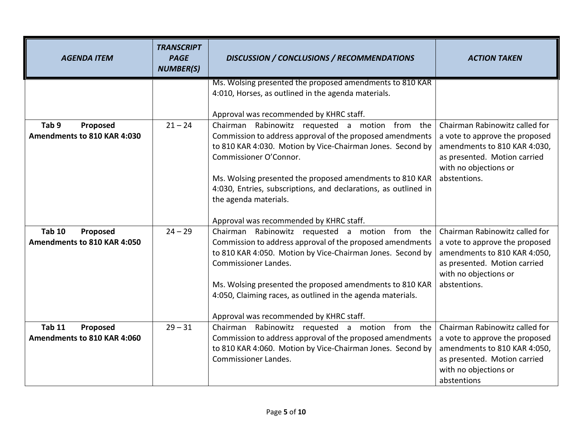| <b>AGENDA ITEM</b>           | <b>TRANSCRIPT</b><br><b>PAGE</b><br><b>NUMBER(S)</b> | <b>DISCUSSION / CONCLUSIONS / RECOMMENDATIONS</b>                                        | <b>ACTION TAKEN</b>            |
|------------------------------|------------------------------------------------------|------------------------------------------------------------------------------------------|--------------------------------|
|                              |                                                      | Ms. Wolsing presented the proposed amendments to 810 KAR                                 |                                |
|                              |                                                      | 4:010, Horses, as outlined in the agenda materials.                                      |                                |
|                              |                                                      |                                                                                          |                                |
|                              |                                                      | Approval was recommended by KHRC staff.                                                  |                                |
| Tab <sub>9</sub><br>Proposed | $21 - 24$                                            | Chairman Rabinowitz requested a motion from the                                          | Chairman Rabinowitz called for |
| Amendments to 810 KAR 4:030  |                                                      | Commission to address approval of the proposed amendments                                | a vote to approve the proposed |
|                              |                                                      | to 810 KAR 4:030. Motion by Vice-Chairman Jones. Second by                               | amendments to 810 KAR 4:030,   |
|                              |                                                      | Commissioner O'Connor.                                                                   | as presented. Motion carried   |
|                              |                                                      |                                                                                          | with no objections or          |
|                              |                                                      | Ms. Wolsing presented the proposed amendments to 810 KAR                                 | abstentions.                   |
|                              |                                                      | 4:030, Entries, subscriptions, and declarations, as outlined in<br>the agenda materials. |                                |
|                              |                                                      |                                                                                          |                                |
|                              |                                                      | Approval was recommended by KHRC staff.                                                  |                                |
| <b>Tab 10</b><br>Proposed    | $24 - 29$                                            | Chairman Rabinowitz requested a motion from the                                          | Chairman Rabinowitz called for |
| Amendments to 810 KAR 4:050  |                                                      | Commission to address approval of the proposed amendments                                | a vote to approve the proposed |
|                              |                                                      | to 810 KAR 4:050. Motion by Vice-Chairman Jones. Second by                               | amendments to 810 KAR 4:050,   |
|                              |                                                      | <b>Commissioner Landes.</b>                                                              | as presented. Motion carried   |
|                              |                                                      |                                                                                          | with no objections or          |
|                              |                                                      | Ms. Wolsing presented the proposed amendments to 810 KAR                                 | abstentions.                   |
|                              |                                                      | 4:050, Claiming races, as outlined in the agenda materials.                              |                                |
|                              |                                                      |                                                                                          |                                |
|                              |                                                      | Approval was recommended by KHRC staff.                                                  |                                |
| <b>Tab 11</b><br>Proposed    | $29 - 31$                                            | Chairman<br>Rabinowitz requested a motion from the                                       | Chairman Rabinowitz called for |
| Amendments to 810 KAR 4:060  |                                                      | Commission to address approval of the proposed amendments                                | a vote to approve the proposed |
|                              |                                                      | to 810 KAR 4:060. Motion by Vice-Chairman Jones. Second by                               | amendments to 810 KAR 4:050,   |
|                              |                                                      | <b>Commissioner Landes.</b>                                                              | as presented. Motion carried   |
|                              |                                                      |                                                                                          | with no objections or          |
|                              |                                                      |                                                                                          | abstentions                    |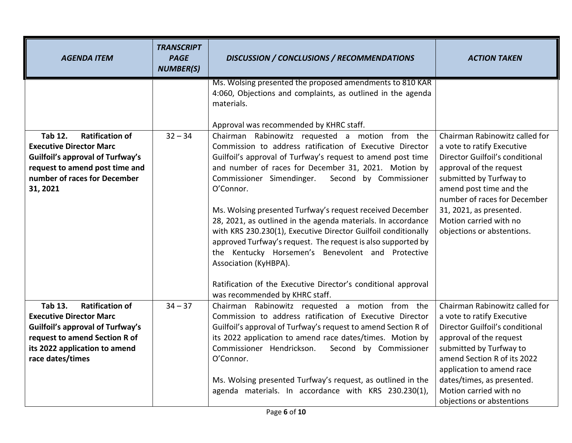| <b>AGENDA ITEM</b>                                                                                                                                                                                          | <b>TRANSCRIPT</b><br><b>PAGE</b><br><b>NUMBER(S)</b> | <b>DISCUSSION / CONCLUSIONS / RECOMMENDATIONS</b>                                                                                                                                                                                                                                                                                                                                                                                                                                                                                                                                                                                                   | <b>ACTION TAKEN</b>                                                                                                                                                                                                                                                                                    |
|-------------------------------------------------------------------------------------------------------------------------------------------------------------------------------------------------------------|------------------------------------------------------|-----------------------------------------------------------------------------------------------------------------------------------------------------------------------------------------------------------------------------------------------------------------------------------------------------------------------------------------------------------------------------------------------------------------------------------------------------------------------------------------------------------------------------------------------------------------------------------------------------------------------------------------------------|--------------------------------------------------------------------------------------------------------------------------------------------------------------------------------------------------------------------------------------------------------------------------------------------------------|
|                                                                                                                                                                                                             |                                                      | Ms. Wolsing presented the proposed amendments to 810 KAR<br>4:060, Objections and complaints, as outlined in the agenda<br>materials.                                                                                                                                                                                                                                                                                                                                                                                                                                                                                                               |                                                                                                                                                                                                                                                                                                        |
|                                                                                                                                                                                                             |                                                      | Approval was recommended by KHRC staff.                                                                                                                                                                                                                                                                                                                                                                                                                                                                                                                                                                                                             |                                                                                                                                                                                                                                                                                                        |
| <b>Tab 12.</b><br><b>Ratification of</b><br><b>Executive Director Marc</b><br><b>Guilfoil's approval of Turfway's</b><br>request to amend post time and<br>number of races for December<br>31, 2021         | $32 - 34$                                            | Chairman Rabinowitz requested a motion from the<br>Commission to address ratification of Executive Director<br>Guilfoil's approval of Turfway's request to amend post time<br>and number of races for December 31, 2021. Motion by<br>Commissioner Simendinger.<br>Second by Commissioner<br>O'Connor.<br>Ms. Wolsing presented Turfway's request received December<br>28, 2021, as outlined in the agenda materials. In accordance<br>with KRS 230.230(1), Executive Director Guilfoil conditionally<br>approved Turfway's request. The request is also supported by<br>the Kentucky Horsemen's Benevolent and Protective<br>Association (KyHBPA). | Chairman Rabinowitz called for<br>a vote to ratify Executive<br>Director Guilfoil's conditional<br>approval of the request<br>submitted by Turfway to<br>amend post time and the<br>number of races for December<br>31, 2021, as presented.<br>Motion carried with no<br>objections or abstentions.    |
|                                                                                                                                                                                                             |                                                      | Ratification of the Executive Director's conditional approval<br>was recommended by KHRC staff.                                                                                                                                                                                                                                                                                                                                                                                                                                                                                                                                                     |                                                                                                                                                                                                                                                                                                        |
| <b>Tab 13.</b><br><b>Ratification of</b><br><b>Executive Director Marc</b><br><b>Guilfoil's approval of Turfway's</b><br>request to amend Section R of<br>its 2022 application to amend<br>race dates/times | $34 - 37$                                            | Chairman Rabinowitz requested a motion from the<br>Commission to address ratification of Executive Director<br>Guilfoil's approval of Turfway's request to amend Section R of<br>its 2022 application to amend race dates/times. Motion by<br>Commissioner Hendrickson. Second by Commissioner<br>O'Connor.<br>Ms. Wolsing presented Turfway's request, as outlined in the<br>agenda materials. In accordance with KRS 230.230(1),                                                                                                                                                                                                                  | Chairman Rabinowitz called for<br>a vote to ratify Executive<br>Director Guilfoil's conditional<br>approval of the request<br>submitted by Turfway to<br>amend Section R of its 2022<br>application to amend race<br>dates/times, as presented.<br>Motion carried with no<br>objections or abstentions |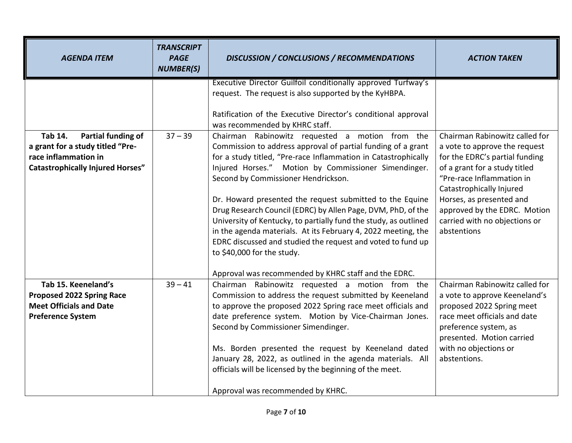| <b>AGENDA ITEM</b>                                                                                                    | <b>TRANSCRIPT</b><br><b>PAGE</b><br><b>NUMBER(S)</b> | <b>DISCUSSION / CONCLUSIONS / RECOMMENDATIONS</b>                                                                                                                                                                                                                                                                                                                                                                                                                                                                                                                                           | <b>ACTION TAKEN</b>                                                                                                                                                                                                                                                   |
|-----------------------------------------------------------------------------------------------------------------------|------------------------------------------------------|---------------------------------------------------------------------------------------------------------------------------------------------------------------------------------------------------------------------------------------------------------------------------------------------------------------------------------------------------------------------------------------------------------------------------------------------------------------------------------------------------------------------------------------------------------------------------------------------|-----------------------------------------------------------------------------------------------------------------------------------------------------------------------------------------------------------------------------------------------------------------------|
| <b>Tab 14.</b><br><b>Partial funding of</b>                                                                           | $37 - 39$                                            | Executive Director Guilfoil conditionally approved Turfway's<br>request. The request is also supported by the KyHBPA.<br>Ratification of the Executive Director's conditional approval<br>was recommended by KHRC staff.<br>Chairman Rabinowitz requested a motion from the                                                                                                                                                                                                                                                                                                                 | Chairman Rabinowitz called for                                                                                                                                                                                                                                        |
| a grant for a study titled "Pre-<br>race inflammation in<br><b>Catastrophically Injured Horses"</b>                   |                                                      | Commission to address approval of partial funding of a grant<br>for a study titled, "Pre-race Inflammation in Catastrophically<br>Injured Horses." Motion by Commissioner Simendinger.<br>Second by Commissioner Hendrickson.<br>Dr. Howard presented the request submitted to the Equine<br>Drug Research Council (EDRC) by Allen Page, DVM, PhD, of the<br>University of Kentucky, to partially fund the study, as outlined<br>in the agenda materials. At its February 4, 2022 meeting, the<br>EDRC discussed and studied the request and voted to fund up<br>to \$40,000 for the study. | a vote to approve the request<br>for the EDRC's partial funding<br>of a grant for a study titled<br>"Pre-race Inflammation in<br>Catastrophically Injured<br>Horses, as presented and<br>approved by the EDRC. Motion<br>carried with no objections or<br>abstentions |
| Tab 15. Keeneland's<br><b>Proposed 2022 Spring Race</b><br><b>Meet Officials and Date</b><br><b>Preference System</b> | $39 - 41$                                            | Approval was recommended by KHRC staff and the EDRC.<br>Chairman Rabinowitz requested a motion from the<br>Commission to address the request submitted by Keeneland<br>to approve the proposed 2022 Spring race meet officials and<br>date preference system. Motion by Vice-Chairman Jones.<br>Second by Commissioner Simendinger.<br>Ms. Borden presented the request by Keeneland dated<br>January 28, 2022, as outlined in the agenda materials. All<br>officials will be licensed by the beginning of the meet.<br>Approval was recommended by KHRC.                                   | Chairman Rabinowitz called for<br>a vote to approve Keeneland's<br>proposed 2022 Spring meet<br>race meet officials and date<br>preference system, as<br>presented. Motion carried<br>with no objections or<br>abstentions.                                           |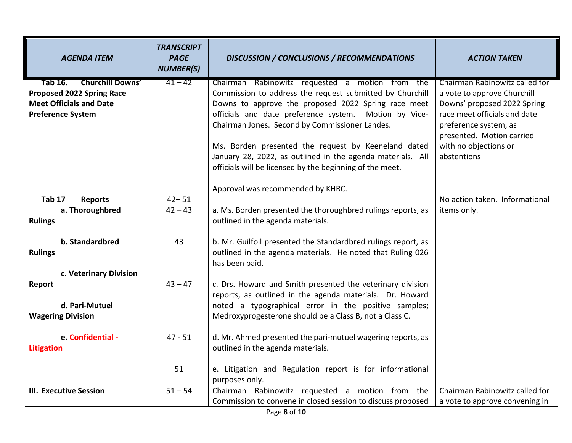| <b>AGENDA ITEM</b>                                                 | <b>TRANSCRIPT</b><br><b>PAGE</b><br><b>NUMBER(S)</b> | <b>DISCUSSION / CONCLUSIONS / RECOMMENDATIONS</b>                                                                 | <b>ACTION TAKEN</b>                                        |
|--------------------------------------------------------------------|------------------------------------------------------|-------------------------------------------------------------------------------------------------------------------|------------------------------------------------------------|
| <b>Tab 16.</b><br><b>Churchill Downs'</b>                          | $41 - 42$                                            | Chairman Rabinowitz requested a motion from the                                                                   | Chairman Rabinowitz called for                             |
| <b>Proposed 2022 Spring Race</b><br><b>Meet Officials and Date</b> |                                                      | Commission to address the request submitted by Churchill<br>Downs to approve the proposed 2022 Spring race meet   | a vote to approve Churchill<br>Downs' proposed 2022 Spring |
| <b>Preference System</b>                                           |                                                      | officials and date preference system. Motion by Vice-                                                             | race meet officials and date                               |
|                                                                    |                                                      | Chairman Jones. Second by Commissioner Landes.                                                                    | preference system, as                                      |
|                                                                    |                                                      |                                                                                                                   | presented. Motion carried                                  |
|                                                                    |                                                      | Ms. Borden presented the request by Keeneland dated<br>January 28, 2022, as outlined in the agenda materials. All | with no objections or<br>abstentions                       |
|                                                                    |                                                      | officials will be licensed by the beginning of the meet.                                                          |                                                            |
|                                                                    |                                                      |                                                                                                                   |                                                            |
|                                                                    |                                                      | Approval was recommended by KHRC.                                                                                 |                                                            |
| <b>Tab 17</b><br><b>Reports</b>                                    | $42 - 51$                                            |                                                                                                                   | No action taken. Informational                             |
| a. Thoroughbred<br><b>Rulings</b>                                  | $42 - 43$                                            | a. Ms. Borden presented the thoroughbred rulings reports, as<br>outlined in the agenda materials.                 | items only.                                                |
| b. Standardbred                                                    | 43                                                   | b. Mr. Guilfoil presented the Standardbred rulings report, as                                                     |                                                            |
| <b>Rulings</b>                                                     |                                                      | outlined in the agenda materials. He noted that Ruling 026<br>has been paid.                                      |                                                            |
| c. Veterinary Division                                             |                                                      |                                                                                                                   |                                                            |
| Report                                                             | $43 - 47$                                            | c. Drs. Howard and Smith presented the veterinary division                                                        |                                                            |
| d. Pari-Mutuel                                                     |                                                      | reports, as outlined in the agenda materials. Dr. Howard<br>noted a typographical error in the positive samples;  |                                                            |
| <b>Wagering Division</b>                                           |                                                      | Medroxyprogesterone should be a Class B, not a Class C.                                                           |                                                            |
|                                                                    |                                                      |                                                                                                                   |                                                            |
| e. Confidential -                                                  | 47 - 51                                              | d. Mr. Ahmed presented the pari-mutuel wagering reports, as                                                       |                                                            |
| <b>Litigation</b>                                                  |                                                      | outlined in the agenda materials.                                                                                 |                                                            |
|                                                                    | 51                                                   | e. Litigation and Regulation report is for informational                                                          |                                                            |
|                                                                    |                                                      | purposes only.                                                                                                    |                                                            |
| <b>III. Executive Session</b>                                      | $51 - 54$                                            | Chairman Rabinowitz requested a motion from the                                                                   | Chairman Rabinowitz called for                             |
|                                                                    |                                                      | Commission to convene in closed session to discuss proposed                                                       | a vote to approve convening in                             |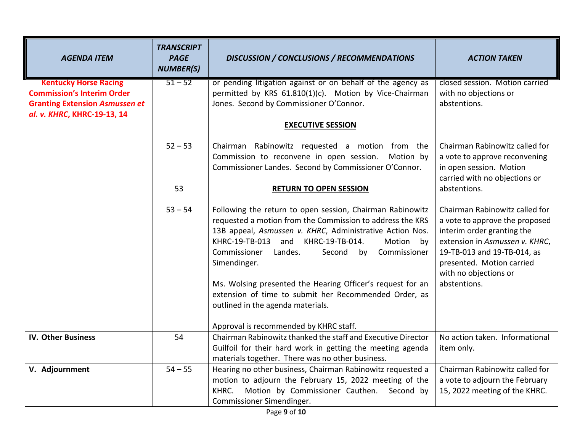| <b>AGENDA ITEM</b>                                                   | <b>TRANSCRIPT</b><br><b>PAGE</b><br><b>NUMBER(S)</b> | <b>DISCUSSION / CONCLUSIONS / RECOMMENDATIONS</b>                                                                                                                                                                                                                                                                                                                                                                                                                                                                         | <b>ACTION TAKEN</b>                                                                                                                                                                                                                   |
|----------------------------------------------------------------------|------------------------------------------------------|---------------------------------------------------------------------------------------------------------------------------------------------------------------------------------------------------------------------------------------------------------------------------------------------------------------------------------------------------------------------------------------------------------------------------------------------------------------------------------------------------------------------------|---------------------------------------------------------------------------------------------------------------------------------------------------------------------------------------------------------------------------------------|
| <b>Kentucky Horse Racing</b><br><b>Commission's Interim Order</b>    | $51 - 52$                                            | or pending litigation against or on behalf of the agency as<br>permitted by KRS 61.810(1)(c). Motion by Vice-Chairman                                                                                                                                                                                                                                                                                                                                                                                                     | closed session. Motion carried<br>with no objections or                                                                                                                                                                               |
| <b>Granting Extension Asmussen et</b><br>al. v. KHRC, KHRC-19-13, 14 |                                                      | Jones. Second by Commissioner O'Connor.                                                                                                                                                                                                                                                                                                                                                                                                                                                                                   | abstentions.                                                                                                                                                                                                                          |
|                                                                      |                                                      | <b>EXECUTIVE SESSION</b>                                                                                                                                                                                                                                                                                                                                                                                                                                                                                                  |                                                                                                                                                                                                                                       |
|                                                                      | $52 - 53$                                            | Chairman Rabinowitz requested a motion from the<br>Commission to reconvene in open session.<br>Motion by<br>Commissioner Landes. Second by Commissioner O'Connor.                                                                                                                                                                                                                                                                                                                                                         | Chairman Rabinowitz called for<br>a vote to approve reconvening<br>in open session. Motion<br>carried with no objections or                                                                                                           |
|                                                                      | 53                                                   | <b>RETURN TO OPEN SESSION</b>                                                                                                                                                                                                                                                                                                                                                                                                                                                                                             | abstentions.                                                                                                                                                                                                                          |
|                                                                      | $53 - 54$                                            | Following the return to open session, Chairman Rabinowitz<br>requested a motion from the Commission to address the KRS<br>13B appeal, Asmussen v. KHRC, Administrative Action Nos.<br>KHRC-19-TB-013 and<br>KHRC-19-TB-014.<br>Motion by<br>Commissioner<br>Commissioner<br>Landes.<br>Second<br>by<br>Simendinger.<br>Ms. Wolsing presented the Hearing Officer's request for an<br>extension of time to submit her Recommended Order, as<br>outlined in the agenda materials.<br>Approval is recommended by KHRC staff. | Chairman Rabinowitz called for<br>a vote to approve the proposed<br>interim order granting the<br>extension in Asmussen v. KHRC,<br>19-TB-013 and 19-TB-014, as<br>presented. Motion carried<br>with no objections or<br>abstentions. |
| <b>IV. Other Business</b>                                            | 54                                                   | Chairman Rabinowitz thanked the staff and Executive Director                                                                                                                                                                                                                                                                                                                                                                                                                                                              | No action taken. Informational                                                                                                                                                                                                        |
|                                                                      |                                                      | Guilfoil for their hard work in getting the meeting agenda<br>materials together. There was no other business.                                                                                                                                                                                                                                                                                                                                                                                                            | item only.                                                                                                                                                                                                                            |
| V. Adjournment                                                       | $54 - 55$                                            | Hearing no other business, Chairman Rabinowitz requested a<br>motion to adjourn the February 15, 2022 meeting of the<br>Motion by Commissioner Cauthen. Second by<br>KHRC.<br>Commissioner Simendinger.                                                                                                                                                                                                                                                                                                                   | Chairman Rabinowitz called for<br>a vote to adjourn the February<br>15, 2022 meeting of the KHRC.                                                                                                                                     |